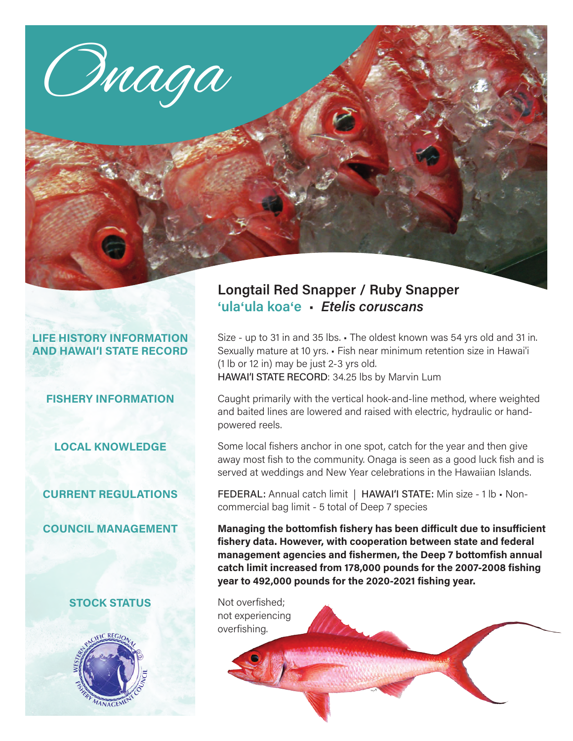

# **LIFE HISTORY INFORMATION AND HAWAI'I STATE RECORD**

#### **FISHERY INFORMATION**

**LOCAL KNOWLEDGE**

# **CURRENT REGULATIONS**

**COUNCIL MANAGEMENT**

# **STOCK STATUS**



# **Longtail Red Snapper / Ruby Snapper** '**ula**'**ula koa**'**e** • *Etelis coruscans*

Size - up to 31 in and 35 lbs. • The oldest known was 54 yrs old and 31 in. Sexually mature at 10 yrs. • Fish near minimum retention size in Hawai'i (1 lb or 12 in) may be just 2-3 yrs old. HAWAI'I STATE RECORD: 34.25 lbs by Marvin Lum

Caught primarily with the vertical hook-and-line method, where weighted and baited lines are lowered and raised with electric, hydraulic or handpowered reels.

Some local fishers anchor in one spot, catch for the year and then give away most fish to the community. Onaga is seen as a good luck fish and is served at weddings and New Year celebrations in the Hawaiian Islands.

FEDERAL: Annual catch limit | HAWAI'I STATE: Min size - 1 lb · Noncommercial bag limit - 5 total of Deep 7 species

**Managing the bottomfish fishery has been difficult due to insufficient fishery data. However, with cooperation between state and federal management agencies and fishermen, the Deep 7 bottomfish annual catch limit increased from 178,000 pounds for the 2007-2008 fishing year to 492,000 pounds for the 2020-2021 fishing year.**

Not overfished; not experiencing overfishing.